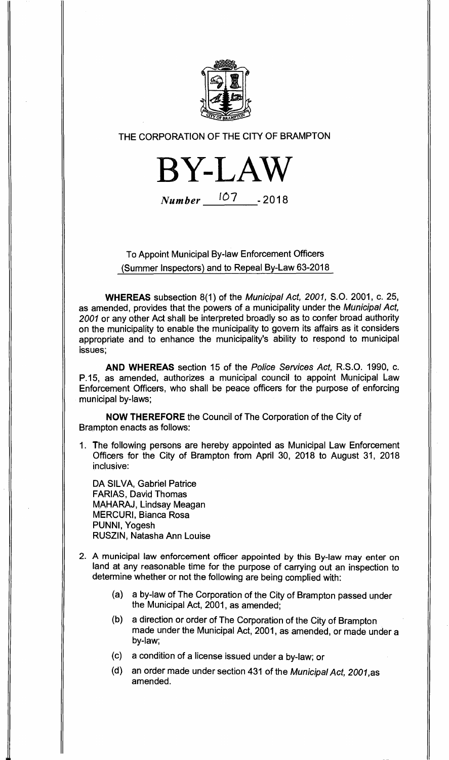

## THE CORPORATION OF THE CITY OF BRAMPTON

**BY-LAW Number** 107 -2018

## To Appoint Municipal By-law Enforcement Officers (Summer Inspectors) and to Repeal By-Law 63-2018

**WHEREAS** subsection 8(1) of the Municipal Act, 2001, S.O. 2001, c. 25, as amended, provides that the powers of a municipality under the Municipal Act, 2001 or any other Act shall be interpreted broadly so as to confer broad authority on the municipality to enable the municipality to govern its affairs as it considers appropriate and to enhance the municipality's ability to respond to municipal issues;

**AND WHEREAS** section 15 of the Police Services Act, R.S.O. 1990, c. P.15, as amended, authorizes a municipal council to appoint Municipal Law Enforcement Officers, who shall be peace officers for the purpose of enforcing municipal by-laws;

**NOW THEREFORE** the Council of The Corporation of the City of Brampton enacts as follows:

1. The following persons are hereby appointed as Municipal Law Enforcement Officers for the City of Brampton from April 30, 2018 to August 31, 2018 inclusive:

DA SILVA, Gabriel Patrice FARIAS, David Thomas MAHARAJ, Lindsay Meagan MERCURI, Bianca Rosa PUNNI, Yogesh RUSZIN, Natasha Ann Louise

- **2. A municipal law enforcement officer appointed by this By-law may enter** on land at any reasonable time for the purpose of carrying out an inspection to determine whether or not the following are being complied with:
	- (a) a by-law of The Corporation of the City of Brampton passed under the Municipal Act, 2001, as amended;
	- (b) a direction or order of The Corporation of the City of Brampton made under the Municipal Act, 2001, as amended, or made under a by-law;
	- (c) a condition of a license issued under a by-law; or
	- (d) an order made under section 431 of the Municipal Act, 2001,as amended.